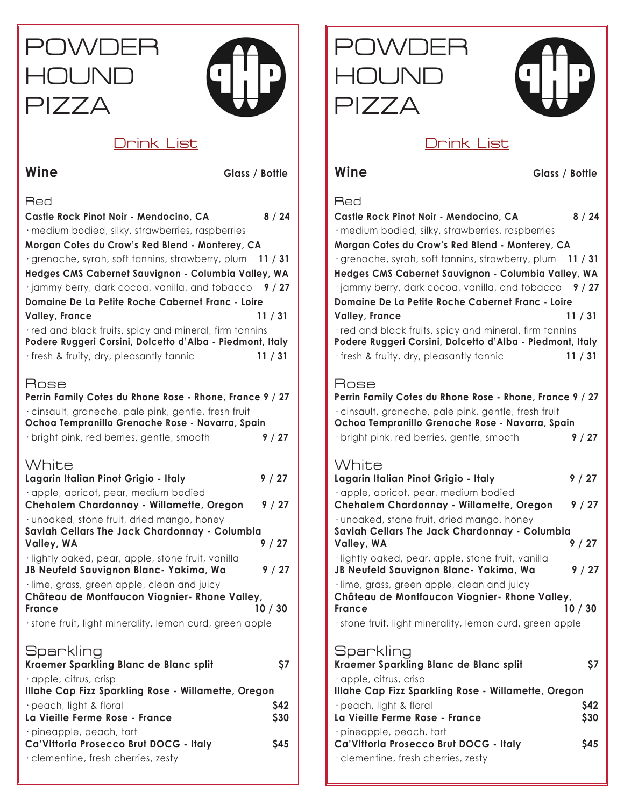# POWDER **HOUND** PIZZA



## Drink List

Wine Glass / Bottle

Red

| Castle Rock Pinot Noir - Mendocino, CA<br>· medium bodied, silky, strawberries, raspberries | 8/24    |
|---------------------------------------------------------------------------------------------|---------|
| Morgan Cotes du Crow's Red Blend - Monterey, CA                                             |         |
| · grenache, syrah, soft tannins, strawberry, plum 11 / 31                                   |         |
| Hedges CMS Cabernet Sauvignon - Columbia Valley, WA                                         |         |
| $\cdot$ jammy berry, dark cocoa, vanilla, and tobacco $\frac{9}{27}$                        |         |
| Domaine De La Petite Roche Cabernet Franc - Loire                                           |         |
| <b>Valley, France</b>                                                                       | 11 / 31 |
| · red and black fruits, spicy and mineral, firm tannins                                     |         |
| Podere Ruggeri Corsini, Dolcetto d'Alba - Piedmont, Italy                                   |         |
| · fresh & fruity, dry, pleasantly tannic                                                    | 11 / 31 |
| Rose                                                                                        |         |
| Perrin Family Cotes du Rhone Rose - Rhone, France 9 / 27                                    |         |
| · cinsault, graneche, pale pink, gentle, fresh fruit                                        |         |
| Ochoa Tempranillo Grenache Rose - Navarra, Spain                                            |         |
| · bright pink, red berries, gentle, smooth                                                  | 9/27    |
|                                                                                             |         |
| White                                                                                       |         |
| Lagarin Italian Pinot Grigio - Italy                                                        | 9/27    |
| · apple, apricot, pear, medium bodied                                                       |         |
| Chehalem Chardonnay - Willamette, Oregon                                                    | 9/27    |
| · unoaked, stone fruit, dried mango, honey                                                  |         |
| Saviah Cellars The Jack Chardonnay - Columbia<br>Valley, WA                                 | 9/27    |
| ·lightly oaked, pear, apple, stone fruit, vanilla                                           |         |
| JB Neufeld Sauvignon Blanc- Yakima, Wa                                                      | 9/27    |
| · lime, grass, green apple, clean and juicy                                                 |         |
| Château de Montfaucon Viognier- Rhone Valley,                                               |         |
| France                                                                                      | 10/30   |
| · stone fruit, light minerality, lemon curd, green apple                                    |         |
|                                                                                             |         |
| Sparkling                                                                                   |         |
| Kraemer Sparkling Blanc de Blanc split                                                      | \$7     |
| · apple, citrus, crisp<br>Illahe Cap Fizz Sparkling Rose - Willamette, Oregon               |         |
| · peach, light & floral<br>S42                                                              |         |
| La Vieille Ferme Rose - France                                                              | \$30    |
|                                                                                             |         |

**Ca'Vittoria Prosecco Brut DOCG - Italy \$45**

· pineapple, peach, tart

· clementine, fresh cherries, zesty





# Drink List

**Wine** Glass / Bottle

### **Red**

| Castle Rock Pinot Noir - Mendocino, CA                                                                                                                       | 8/24    |
|--------------------------------------------------------------------------------------------------------------------------------------------------------------|---------|
| · medium bodied, silky, strawberries, raspberries                                                                                                            |         |
| Morgan Cotes du Crow's Red Blend - Monterey, CA                                                                                                              |         |
| · grenache, syrah, soft tannins, strawberry, plum 11 / 31                                                                                                    |         |
| Hedges CMS Cabernet Sauvignon - Columbia Valley, WA                                                                                                          |         |
| $\cdot$ jammy berry, dark cocoa, vanilla, and tobacco $\frac{9}{27}$                                                                                         |         |
| Domaine De La Petite Roche Cabernet Franc - Loire                                                                                                            |         |
| Valley, France                                                                                                                                               | 11/31   |
| red and black fruits, spicy and mineral, firm tannins<br>Podere Ruggeri Corsini, Dolcetto d'Alba - Piedmont, Italy<br>fresh & fruity, dry, pleasantly tannic | 11 / 31 |
|                                                                                                                                                              |         |

# Rose

**Perrin Family Cotes du Rhone Rose - Rhone, France 9 / 27** · cinsault, graneche, pale pink, gentle, fresh fruit **Ochoa Tempranillo Grenache Rose - Navarra, Spain**  · bright pink, red berries, gentle, smooth **9 / 27**

# White

| Lagarin Italian Pinot Grigio - Italy                   | 9/27    |
|--------------------------------------------------------|---------|
| · apple, apricot, pear, medium bodied                  |         |
| Chehalem Chardonnay - Willamette, Oregon               | 9/27    |
| · unoaked, stone fruit, dried mango, honey             |         |
| Saviah Cellars The Jack Chardonnay - Columbia          |         |
| Valley, WA                                             | 9/27    |
| ·lightly oaked, pear, apple, stone fruit, vanilla      |         |
| JB Neufeld Sauvignon Blanc- Yakima, Wa                 | 9/27    |
| · lime, grass, green apple, clean and juicy            |         |
| Château de Montfaucon Viognier- Rhone Valley,          |         |
| France                                                 | 10 / 30 |
| stone fruit, light minerality, lemon curd, green apple |         |

# **Sparkling**

| Kraemer Sparkling Blanc de Blanc split                                              | S7         |
|-------------------------------------------------------------------------------------|------------|
| $\cdot$ apple, citrus, crisp<br>Illahe Cap Fizz Sparkling Rose - Willamette, Oregon |            |
| $\cdot$ peach, light & floral                                                       | <b>S42</b> |
| La Vieille Ferme Rose - France                                                      | \$30       |
| $\cdot$ pineapple, peach, fart<br>Ca'Vittoria Prosecco Brut DOCG - Italy            | <b>S45</b> |
| · clementine, fresh cherries, zesty                                                 |            |